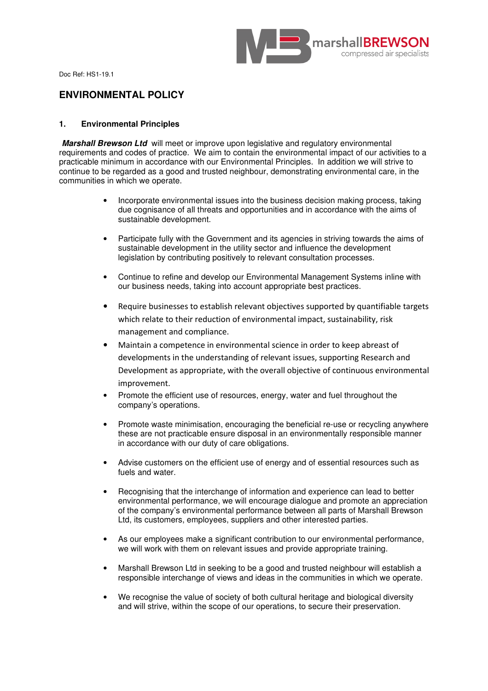

Doc Ref: HS1-19.1

# **ENVIRONMENTAL POLICY**

# **1. Environmental Principles**

**Marshall Brewson Ltd** will meet or improve upon legislative and regulatory environmental requirements and codes of practice. We aim to contain the environmental impact of our activities to a practicable minimum in accordance with our Environmental Principles. In addition we will strive to continue to be regarded as a good and trusted neighbour, demonstrating environmental care, in the communities in which we operate.

- Incorporate environmental issues into the business decision making process, taking due cognisance of all threats and opportunities and in accordance with the aims of sustainable development.
- Participate fully with the Government and its agencies in striving towards the aims of sustainable development in the utility sector and influence the development legislation by contributing positively to relevant consultation processes.
- Continue to refine and develop our Environmental Management Systems inline with our business needs, taking into account appropriate best practices.
- Require businesses to establish relevant objectives supported by quantifiable targets which relate to their reduction of environmental impact, sustainability, risk management and compliance.
- Maintain a competence in environmental science in order to keep abreast of developments in the understanding of relevant issues, supporting Research and Development as appropriate, with the overall objective of continuous environmental improvement.
- Promote the efficient use of resources, energy, water and fuel throughout the company's operations.
- Promote waste minimisation, encouraging the beneficial re-use or recycling anywhere these are not practicable ensure disposal in an environmentally responsible manner in accordance with our duty of care obligations.
- Advise customers on the efficient use of energy and of essential resources such as fuels and water.
- Recognising that the interchange of information and experience can lead to better environmental performance, we will encourage dialogue and promote an appreciation of the company's environmental performance between all parts of Marshall Brewson Ltd, its customers, employees, suppliers and other interested parties.
- As our employees make a significant contribution to our environmental performance, we will work with them on relevant issues and provide appropriate training.
- Marshall Brewson Ltd in seeking to be a good and trusted neighbour will establish a responsible interchange of views and ideas in the communities in which we operate.
- We recognise the value of society of both cultural heritage and biological diversity and will strive, within the scope of our operations, to secure their preservation.